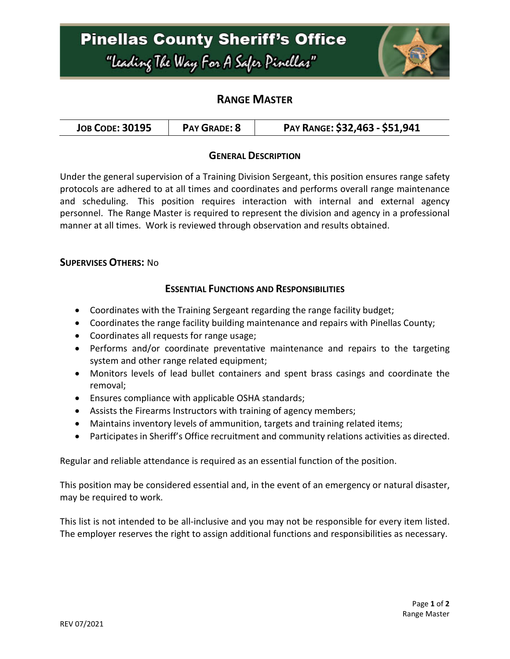# **Pinellas County Sheriff's Office** "Leading The Way For A Safer Pinellar"



## **RANGE MASTER**

| PAY RANGE: \$32,463 - \$51,941<br>PAY GRADE: 8<br><b>JOB CODE: 30195</b> |
|--------------------------------------------------------------------------|
|--------------------------------------------------------------------------|

#### **GENERAL DESCRIPTION**

Under the general supervision of a Training Division Sergeant, this position ensures range safety protocols are adhered to at all times and coordinates and performs overall range maintenance and scheduling. This position requires interaction with internal and external agency personnel. The Range Master is required to represent the division and agency in a professional manner at all times. Work is reviewed through observation and results obtained.

#### **SUPERVISES OTHERS:** No

#### **ESSENTIAL FUNCTIONS AND RESPONSIBILITIES**

- Coordinates with the Training Sergeant regarding the range facility budget;
- Coordinates the range facility building maintenance and repairs with Pinellas County;
- Coordinates all requests for range usage;
- Performs and/or coordinate preventative maintenance and repairs to the targeting system and other range related equipment;
- Monitors levels of lead bullet containers and spent brass casings and coordinate the removal;
- Ensures compliance with applicable OSHA standards;
- Assists the Firearms Instructors with training of agency members;
- Maintains inventory levels of ammunition, targets and training related items;
- Participates in Sheriff's Office recruitment and community relations activities as directed.

Regular and reliable attendance is required as an essential function of the position.

This position may be considered essential and, in the event of an emergency or natural disaster, may be required to work.

This list is not intended to be all-inclusive and you may not be responsible for every item listed. The employer reserves the right to assign additional functions and responsibilities as necessary.